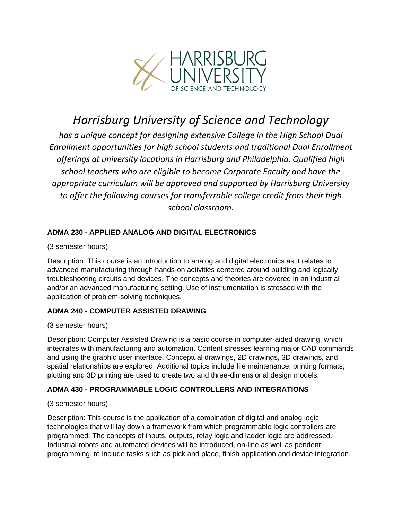

# *Harrisburg University of Science and Technology*

*has a unique concept for designing extensive College in the High School Dual Enrollment opportunities for high school students and traditional Dual Enrollment offerings at university locations in Harrisburg and Philadelphia. Qualified high school teachers who are eligible to become Corporate Faculty and have the appropriate curriculum will be approved and supported by Harrisburg University to offer the following courses for transferrable college credit from their high school classroom.*

# **ADMA 230 - APPLIED ANALOG AND DIGITAL ELECTRONICS**

(3 semester hours)

Description: This course is an introduction to analog and digital electronics as it relates to advanced manufacturing through hands-on activities centered around building and logically troubleshooting circuits and devices. The concepts and theories are covered in an industrial and/or an advanced manufacturing setting. Use of instrumentation is stressed with the application of problem-solving techniques.

# **ADMA 240 - COMPUTER ASSISTED DRAWING**

# (3 semester hours)

Description: Computer Assisted Drawing is a basic course in computer-aided drawing, which integrates with manufacturing and automation. Content stresses learning major CAD commands and using the graphic user interface. Conceptual drawings, 2D drawings, 3D drawings, and spatial relationships are explored. Additional topics include file maintenance, printing formats, plotting and 3D printing are used to create two and three-dimensional design models.

# **ADMA 430 - PROGRAMMABLE LOGIC CONTROLLERS AND INTEGRATIONS**

# (3 semester hours)

Description: This course is the application of a combination of digital and analog logic technologies that will lay down a framework from which programmable logic controllers are programmed. The concepts of inputs, outputs, relay logic and ladder logic are addressed. Industrial robots and automated devices will be introduced, on-line as well as pendent programming, to include tasks such as pick and place, finish application and device integration.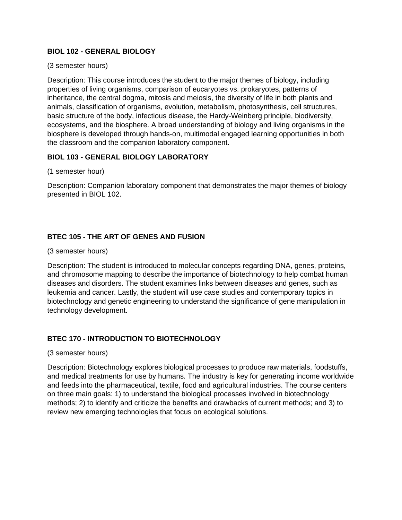# **BIOL 102 - GENERAL BIOLOGY**

### (3 semester hours)

Description: This course introduces the student to the major themes of biology, including properties of living organisms, comparison of eucaryotes vs. prokaryotes, patterns of inheritance, the central dogma, mitosis and meiosis, the diversity of life in both plants and animals, classification of organisms, evolution, metabolism, photosynthesis, cell structures, basic structure of the body, infectious disease, the Hardy-Weinberg principle, biodiversity, ecosystems, and the biosphere. A broad understanding of biology and living organisms in the biosphere is developed through hands-on, multimodal engaged learning opportunities in both the classroom and the companion laboratory component.

# **BIOL 103 - GENERAL BIOLOGY LABORATORY**

(1 semester hour)

Description: Companion laboratory component that demonstrates the major themes of biology presented in BIOL 102.

# **BTEC 105 - THE ART OF GENES AND FUSION**

(3 semester hours)

Description: The student is introduced to molecular concepts regarding DNA, genes, proteins, and chromosome mapping to describe the importance of biotechnology to help combat human diseases and disorders. The student examines links between diseases and genes, such as leukemia and cancer. Lastly, the student will use case studies and contemporary topics in biotechnology and genetic engineering to understand the significance of gene manipulation in technology development.

# **BTEC 170 - INTRODUCTION TO BIOTECHNOLOGY**

(3 semester hours)

Description: Biotechnology explores biological processes to produce raw materials, foodstuffs, and medical treatments for use by humans. The industry is key for generating income worldwide and feeds into the pharmaceutical, textile, food and agricultural industries. The course centers on three main goals: 1) to understand the biological processes involved in biotechnology methods; 2) to identify and criticize the benefits and drawbacks of current methods; and 3) to review new emerging technologies that focus on ecological solutions.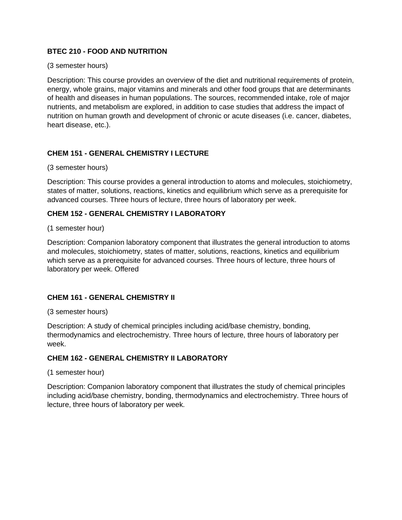# **BTEC 210 - FOOD AND NUTRITION**

#### (3 semester hours)

Description: This course provides an overview of the diet and nutritional requirements of protein, energy, whole grains, major vitamins and minerals and other food groups that are determinants of health and diseases in human populations. The sources, recommended intake, role of major nutrients, and metabolism are explored, in addition to case studies that address the impact of nutrition on human growth and development of chronic or acute diseases (i.e. cancer, diabetes, heart disease, etc.).

# **CHEM 151 - GENERAL CHEMISTRY I LECTURE**

(3 semester hours)

Description: This course provides a general introduction to atoms and molecules, stoichiometry, states of matter, solutions, reactions, kinetics and equilibrium which serve as a prerequisite for advanced courses. Three hours of lecture, three hours of laboratory per week.

# **CHEM 152 - GENERAL CHEMISTRY I LABORATORY**

(1 semester hour)

Description: Companion laboratory component that illustrates the general introduction to atoms and molecules, stoichiometry, states of matter, solutions, reactions, kinetics and equilibrium which serve as a prerequisite for advanced courses. Three hours of lecture, three hours of laboratory per week. Offered

# **CHEM 161 - GENERAL CHEMISTRY II**

(3 semester hours)

Description: A study of chemical principles including acid/base chemistry, bonding, thermodynamics and electrochemistry. Three hours of lecture, three hours of laboratory per week.

# **CHEM 162 - GENERAL CHEMISTRY II LABORATORY**

(1 semester hour)

Description: Companion laboratory component that illustrates the study of chemical principles including acid/base chemistry, bonding, thermodynamics and electrochemistry. Three hours of lecture, three hours of laboratory per week.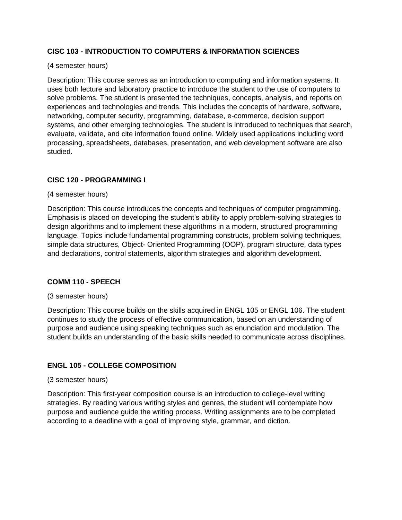# **CISC 103 - INTRODUCTION TO COMPUTERS & INFORMATION SCIENCES**

### (4 semester hours)

Description: This course serves as an introduction to computing and information systems. It uses both lecture and laboratory practice to introduce the student to the use of computers to solve problems. The student is presented the techniques, concepts, analysis, and reports on experiences and technologies and trends. This includes the concepts of hardware, software, networking, computer security, programming, database, e-commerce, decision support systems, and other emerging technologies. The student is introduced to techniques that search, evaluate, validate, and cite information found online. Widely used applications including word processing, spreadsheets, databases, presentation, and web development software are also studied.

# **CISC 120 - PROGRAMMING I**

(4 semester hours)

Description: This course introduces the concepts and techniques of computer programming. Emphasis is placed on developing the student's ability to apply problem-solving strategies to design algorithms and to implement these algorithms in a modern, structured programming language. Topics include fundamental programming constructs, problem solving techniques, simple data structures, Object- Oriented Programming (OOP), program structure, data types and declarations, control statements, algorithm strategies and algorithm development.

# **COMM 110 - SPEECH**

#### (3 semester hours)

Description: This course builds on the skills acquired in ENGL 105 or ENGL 106. The student continues to study the process of effective communication, based on an understanding of purpose and audience using speaking techniques such as enunciation and modulation. The student builds an understanding of the basic skills needed to communicate across disciplines.

# **ENGL 105 - COLLEGE COMPOSITION**

#### (3 semester hours)

Description: This first-year composition course is an introduction to college-level writing strategies. By reading various writing styles and genres, the student will contemplate how purpose and audience guide the writing process. Writing assignments are to be completed according to a deadline with a goal of improving style, grammar, and diction.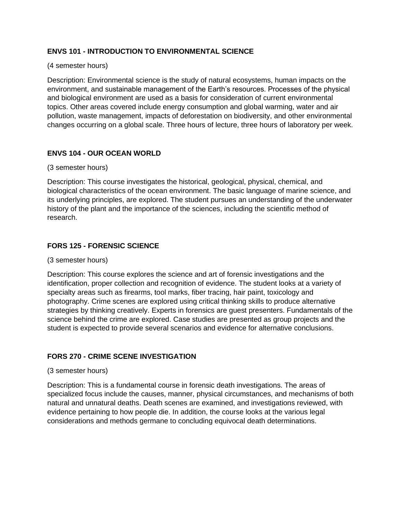# **ENVS 101 - INTRODUCTION TO ENVIRONMENTAL SCIENCE**

#### (4 semester hours)

Description: Environmental science is the study of natural ecosystems, human impacts on the environment, and sustainable management of the Earth's resources. Processes of the physical and biological environment are used as a basis for consideration of current environmental topics. Other areas covered include energy consumption and global warming, water and air pollution, waste management, impacts of deforestation on biodiversity, and other environmental changes occurring on a global scale. Three hours of lecture, three hours of laboratory per week.

# **ENVS 104 - OUR OCEAN WORLD**

#### (3 semester hours)

Description: This course investigates the historical, geological, physical, chemical, and biological characteristics of the ocean environment. The basic language of marine science, and its underlying principles, are explored. The student pursues an understanding of the underwater history of the plant and the importance of the sciences, including the scientific method of research.

# **FORS 125 - FORENSIC SCIENCE**

#### (3 semester hours)

Description: This course explores the science and art of forensic investigations and the identification, proper collection and recognition of evidence. The student looks at a variety of specialty areas such as firearms, tool marks, fiber tracing, hair paint, toxicology and photography. Crime scenes are explored using critical thinking skills to produce alternative strategies by thinking creatively. Experts in forensics are guest presenters. Fundamentals of the science behind the crime are explored. Case studies are presented as group projects and the student is expected to provide several scenarios and evidence for alternative conclusions.

# **FORS 270 - CRIME SCENE INVESTIGATION**

#### (3 semester hours)

Description: This is a fundamental course in forensic death investigations. The areas of specialized focus include the causes, manner, physical circumstances, and mechanisms of both natural and unnatural deaths. Death scenes are examined, and investigations reviewed, with evidence pertaining to how people die. In addition, the course looks at the various legal considerations and methods germane to concluding equivocal death determinations.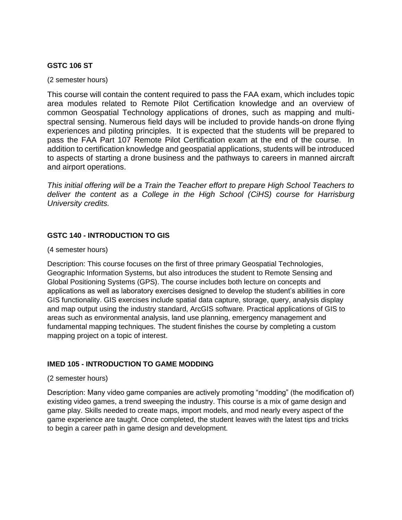# **GSTC 106 ST**

(2 semester hours)

This course will contain the content required to pass the FAA exam, which includes topic area modules related to Remote Pilot Certification knowledge and an overview of common Geospatial Technology applications of drones, such as mapping and multispectral sensing. Numerous field days will be included to provide hands-on drone flying experiences and piloting principles. It is expected that the students will be prepared to pass the FAA Part 107 Remote Pilot Certification exam at the end of the course. In addition to certification knowledge and geospatial applications, students will be introduced to aspects of starting a drone business and the pathways to careers in manned aircraft and airport operations.

*This initial offering will be a Train the Teacher effort to prepare High School Teachers to*  deliver the content as a College in the High School (CiHS) course for Harrisburg *University credits.*

# **GSTC 140 - INTRODUCTION TO GIS**

(4 semester hours)

Description: This course focuses on the first of three primary Geospatial Technologies, Geographic Information Systems, but also introduces the student to Remote Sensing and Global Positioning Systems (GPS). The course includes both lecture on concepts and applications as well as laboratory exercises designed to develop the student's abilities in core GIS functionality. GIS exercises include spatial data capture, storage, query, analysis display and map output using the industry standard, ArcGIS software. Practical applications of GIS to areas such as environmental analysis, land use planning, emergency management and fundamental mapping techniques. The student finishes the course by completing a custom mapping project on a topic of interest.

# **IMED 105 - INTRODUCTION TO GAME MODDING**

(2 semester hours)

Description: Many video game companies are actively promoting "modding" (the modification of) existing video games, a trend sweeping the industry. This course is a mix of game design and game play. Skills needed to create maps, import models, and mod nearly every aspect of the game experience are taught. Once completed, the student leaves with the latest tips and tricks to begin a career path in game design and development.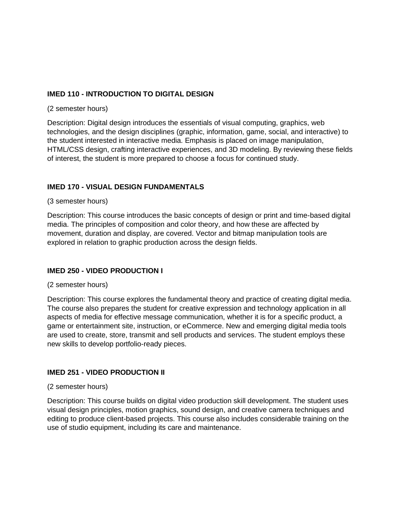# **IMED 110 - INTRODUCTION TO DIGITAL DESIGN**

#### (2 semester hours)

Description: Digital design introduces the essentials of visual computing, graphics, web technologies, and the design disciplines (graphic, information, game, social, and interactive) to the student interested in interactive media. Emphasis is placed on image manipulation, HTML/CSS design, crafting interactive experiences, and 3D modeling. By reviewing these fields of interest, the student is more prepared to choose a focus for continued study.

# **IMED 170 - VISUAL DESIGN FUNDAMENTALS**

#### (3 semester hours)

Description: This course introduces the basic concepts of design or print and time-based digital media. The principles of composition and color theory, and how these are affected by movement, duration and display, are covered. Vector and bitmap manipulation tools are explored in relation to graphic production across the design fields.

# **IMED 250 - VIDEO PRODUCTION I**

# (2 semester hours)

Description: This course explores the fundamental theory and practice of creating digital media. The course also prepares the student for creative expression and technology application in all aspects of media for effective message communication, whether it is for a specific product, a game or entertainment site, instruction, or eCommerce. New and emerging digital media tools are used to create, store, transmit and sell products and services. The student employs these new skills to develop portfolio-ready pieces.

# **IMED 251 - VIDEO PRODUCTION II**

# (2 semester hours)

Description: This course builds on digital video production skill development. The student uses visual design principles, motion graphics, sound design, and creative camera techniques and editing to produce client-based projects. This course also includes considerable training on the use of studio equipment, including its care and maintenance.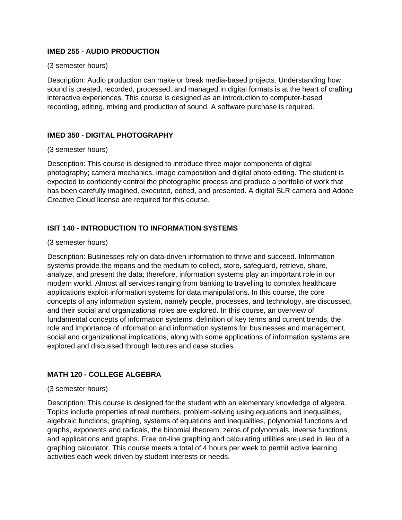# **IMED 255 - AUDIO PRODUCTION**

#### (3 semester hours)

Description: Audio production can make or break media-based projects. Understanding how sound is created, recorded, processed, and managed in digital formats is at the heart of crafting interactive experiences. This course is designed as an introduction to computer-based recording, editing, mixing and production of sound. A software purchase is required.

# **IMED 350 - DIGITAL PHOTOGRAPHY**

#### (3 semester hours)

Description: This course is designed to introduce three major components of digital photography; camera mechanics, image composition and digital photo editing. The student is expected to confidently control the photographic process and produce a portfolio of work that has been carefully imagined, executed, edited, and presented. A digital SLR camera and Adobe Creative Cloud license are required for this course.

# **ISIT 140 - INTRODUCTION TO INFORMATION SYSTEMS**

#### (3 semester hours)

Description: Businesses rely on data-driven information to thrive and succeed. Information systems provide the means and the medium to collect, store, safeguard, retrieve, share, analyze, and present the data; therefore, information systems play an important role in our modern world. Almost all services ranging from banking to travelling to complex healthcare applications exploit information systems for data manipulations. In this course, the core concepts of any information system, namely people, processes, and technology, are discussed, and their social and organizational roles are explored. In this course, an overview of fundamental concepts of information systems, definition of key terms and current trends, the role and importance of information and information systems for businesses and management, social and organizational implications, along with some applications of information systems are explored and discussed through lectures and case studies.

# **MATH 120 - COLLEGE ALGEBRA**

# (3 semester hours)

Description: This course is designed for the student with an elementary knowledge of algebra. Topics include properties of real numbers, problem-solving using equations and inequalities, algebraic functions, graphing, systems of equations and inequalities, polynomial functions and graphs, exponents and radicals, the binomial theorem, zeros of polynomials, inverse functions, and applications and graphs. Free on-line graphing and calculating utilities are used in lieu of a graphing calculator. This course meets a total of 4 hours per week to permit active learning activities each week driven by student interests or needs.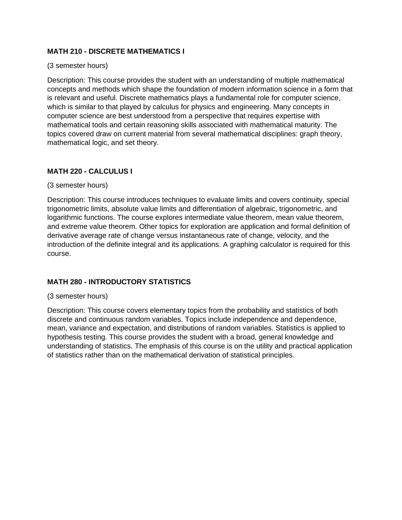# **MATH 210 - DISCRETE MATHEMATICS I**

#### (3 semester hours)

Description: This course provides the student with an understanding of multiple mathematical concepts and methods which shape the foundation of modern information science in a form that is relevant and useful. Discrete mathematics plays a fundamental role for computer science, which is similar to that played by calculus for physics and engineering. Many concepts in computer science are best understood from a perspective that requires expertise with mathematical tools and certain reasoning skills associated with mathematical maturity. The topics covered draw on current material from several mathematical disciplines: graph theory, mathematical logic, and set theory.

# **MATH 220 - CALCULUS I**

# (3 semester hours)

Description: This course introduces techniques to evaluate limits and covers continuity, special trigonometric limits, absolute value limits and differentiation of algebraic, trigonometric, and logarithmic functions. The course explores intermediate value theorem, mean value theorem, and extreme value theorem. Other topics for exploration are application and formal definition of derivative average rate of change versus instantaneous rate of change, velocity, and the introduction of the definite integral and its applications. A graphing calculator is required for this course.

# **MATH 280 - INTRODUCTORY STATISTICS**

# (3 semester hours)

Description: This course covers elementary topics from the probability and statistics of both discrete and continuous random variables. Topics include independence and dependence, mean, variance and expectation, and distributions of random variables. Statistics is applied to hypothesis testing. This course provides the student with a broad, general knowledge and understanding of statistics. The emphasis of this course is on the utility and practical application of statistics rather than on the mathematical derivation of statistical principles.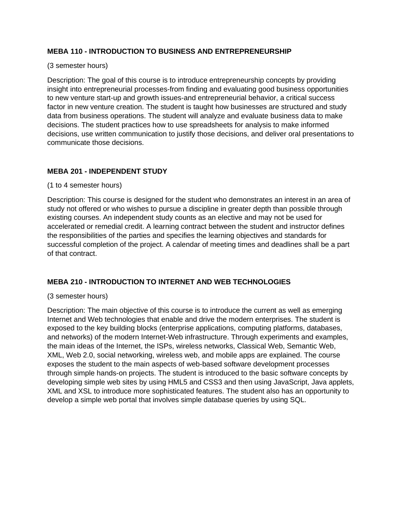# **MEBA 110 - INTRODUCTION TO BUSINESS AND ENTREPRENEURSHIP**

## (3 semester hours)

Description: The goal of this course is to introduce entrepreneurship concepts by providing insight into entrepreneurial processes-from finding and evaluating good business opportunities to new venture start-up and growth issues-and entrepreneurial behavior, a critical success factor in new venture creation. The student is taught how businesses are structured and study data from business operations. The student will analyze and evaluate business data to make decisions. The student practices how to use spreadsheets for analysis to make informed decisions, use written communication to justify those decisions, and deliver oral presentations to communicate those decisions.

# **MEBA 201 - INDEPENDENT STUDY**

# (1 to 4 semester hours)

Description: This course is designed for the student who demonstrates an interest in an area of study not offered or who wishes to pursue a discipline in greater depth than possible through existing courses. An independent study counts as an elective and may not be used for accelerated or remedial credit. A learning contract between the student and instructor defines the responsibilities of the parties and specifies the learning objectives and standards for successful completion of the project. A calendar of meeting times and deadlines shall be a part of that contract.

# **MEBA 210 - INTRODUCTION TO INTERNET AND WEB TECHNOLOGIES**

# (3 semester hours)

Description: The main objective of this course is to introduce the current as well as emerging Internet and Web technologies that enable and drive the modern enterprises. The student is exposed to the key building blocks (enterprise applications, computing platforms, databases, and networks) of the modern Internet-Web infrastructure. Through experiments and examples, the main ideas of the Internet, the ISPs, wireless networks, Classical Web, Semantic Web, XML, Web 2.0, social networking, wireless web, and mobile apps are explained. The course exposes the student to the main aspects of web-based software development processes through simple hands-on projects. The student is introduced to the basic software concepts by developing simple web sites by using HML5 and CSS3 and then using JavaScript, Java applets, XML and XSL to introduce more sophisticated features. The student also has an opportunity to develop a simple web portal that involves simple database queries by using SQL.